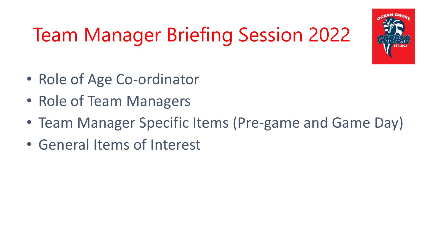

# Team Manager Briefing Session 2022

- Role of Age Co-ordinator
- Role of Team Managers
- Team Manager Specific Items (Pre-game and Game Day)
- General Items of Interest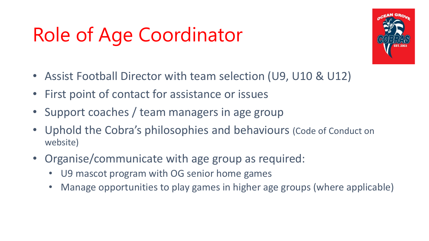## Role of Age Coordinator



- Assist Football Director with team selection (U9, U10 & U12)
- First point of contact for assistance or issues
- Support coaches / team managers in age group
- Uphold the Cobra's philosophies and behaviours (Code of Conduct on website)
- Organise/communicate with age group as required:
	- U9 mascot program with OG senior home games
	- Manage opportunities to play games in higher age groups (where applicable)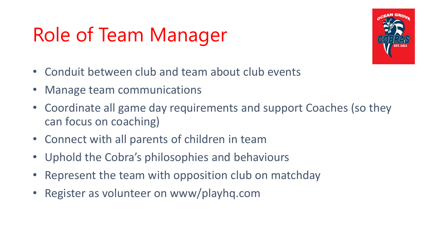## Role of Team Manager



- Conduit between club and team about club events
- Manage team communications
- Coordinate all game day requirements and support Coaches (so they can focus on coaching)
- Connect with all parents of children in team
- Uphold the Cobra's philosophies and behaviours
- Represent the team with opposition club on matchday
- Register as volunteer on www/playhq.com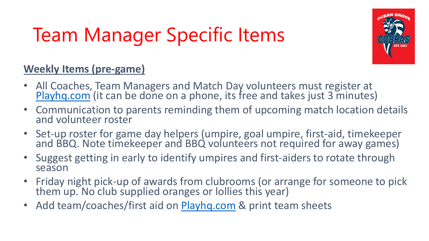## Team Manager Specific Items



### **Weekly Items (pre-game)**

- All Coaches, Team Managers and Match Day volunteers must register at [Playhq.com](https://www.playhq.com/) (it can be done on a phone, its free and takes just 3 minutes)
- Communication to parents reminding them of upcoming match location details and volunteer roster
- Set-up roster for game day helpers (umpire, goal umpire, first-aid, timekeeper and BBQ. Note timekeeper and BBQ volunteers not required for away games)
- Suggest getting in early to identify umpires and first-aiders to rotate through season
- Friday night pick-up of awards from clubrooms (or arrange for someone to pick them up. No club supplied oranges or Iollies this year)
- Add team/coaches/first aid on [Playhq.com](https://www.playhq.com/) & print team sheets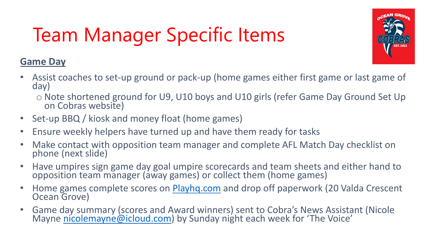# Team Manager Specific Items



#### **Game Day**

- Assist coaches to set-up ground or pack-up (home games either first game or last game of day)
	- o Note shortened ground for U9, U10 boys and U10 girls (refer Game Day Ground Set Up on Cobras website)
- Set-up BBQ / kiosk and money float (home games)
- Ensure weekly helpers have turned up and have them ready for tasks
- Make contact with opposition team manager and complete AFL Match Day checklist on phone (next slide)
- Have umpires sign game day goal umpire scorecards and team sheets and either hand to opposition team manager (away games) or collect them (home games)
- Home games complete scores on [Playhq.com](https://www.playhq.com/) and drop off paperwork (20 Valda Crescent Ocean Grove)
- Game day summary (scores and Award winners) sent to Cobra's News Assistant (Nicole Mayne [nicolemayne@icloud.com](mailto:nicolemayne@icloud.com)) by Sunday night each week for 'The Voice'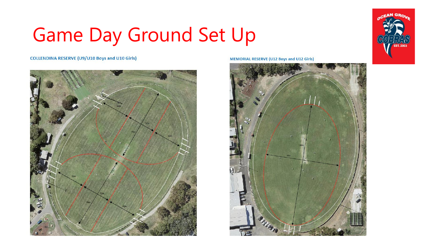### Game Day Ground Set Up



**COLLENDINA RESERVE (U9/U10 Boys and U10 Girls)** 



**MEMORIAL RESERVE (U12 Boys and U12 Girls)** 

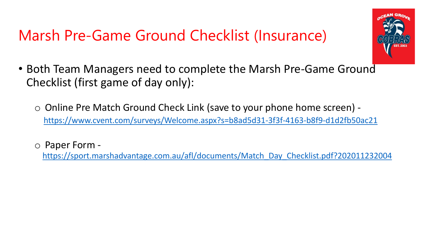### Marsh Pre-Game Ground Checklist (Insurance)



- Both Team Managers need to complete the Marsh Pre-Game Ground Checklist (first game of day only):
	- o Online Pre Match Ground Check Link (save to your phone home screen) <https://www.cvent.com/surveys/Welcome.aspx?s=b8ad5d31-3f3f-4163-b8f9-d1d2fb50ac21>
	- o Paper Form -

[https://sport.marshadvantage.com.au/afl/documents/Match\\_Day\\_Checklist.pdf?202011232004](https://sport.marshadvantage.com.au/afl/documents/Match_Day_Checklist.pdf?202011232004)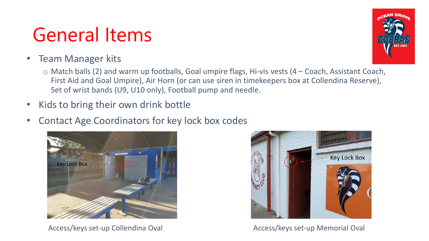### General Items

### • Team Manager kits

 $\circ$  Match balls (2) and warm up footballs, Goal umpire flags, Hi-vis vests (4 – Coach, Assistant Coach, First Aid and Goal Umpire), Air Horn (or can use siren in timekeepers box at Collendina Reserve), Set of wrist bands (U9, U10 only), Football pump and needle.

- Kids to bring their own drink bottle
- Contact Age Coordinators for key lock box codes



Access/keys set-up Collendina Oval **Access**/keys set-up Memorial Oval